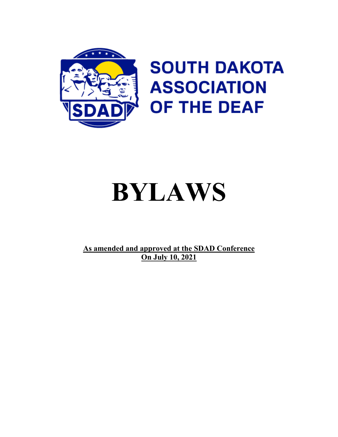

# **SOUTH DAKOTA ASSOCIATION OF THE DEAF**

# **BYLAWS**

**As amended and approved at the SDAD Conference On July 10, 2021**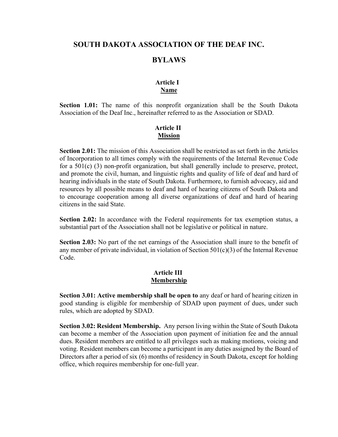# **SOUTH DAKOTA ASSOCIATION OF THE DEAF INC.**

# **BYLAWS**

# **Article I Name**

**Section 1.01:** The name of this nonprofit organization shall be the South Dakota Association of the Deaf Inc., hereinafter referred to as the Association or SDAD.

## **Article II Mission**

**Section 2.01:** The mission of this Association shall be restricted as set forth in the Articles of Incorporation to all times comply with the requirements of the Internal Revenue Code for a 501(c) (3) non-profit organization, but shall generally include to preserve, protect, and promote the civil, human, and linguistic rights and quality of life of deaf and hard of hearing individuals in the state of South Dakota. Furthermore, to furnish advocacy, aid and resources by all possible means to deaf and hard of hearing citizens of South Dakota and to encourage cooperation among all diverse organizations of deaf and hard of hearing citizens in the said State.

**Section 2.02:** In accordance with the Federal requirements for tax exemption status, a substantial part of the Association shall not be legislative or political in nature.

**Section 2.03:** No part of the net earnings of the Association shall inure to the benefit of any member of private individual, in violation of Section 501(c)(3) of the Internal Revenue Code.

## **Article III Membership**

**Section 3.01: Active membership shall be open to** any deaf or hard of hearing citizen in good standing is eligible for membership of SDAD upon payment of dues, under such rules, which are adopted by SDAD.

**Section 3.02: Resident Membership.** Any person living within the State of South Dakota can become a member of the Association upon payment of initiation fee and the annual dues. Resident members are entitled to all privileges such as making motions, voicing and voting. Resident members can become a participant in any duties assigned by the Board of Directors after a period of six (6) months of residency in South Dakota, except for holding office, which requires membership for one-full year.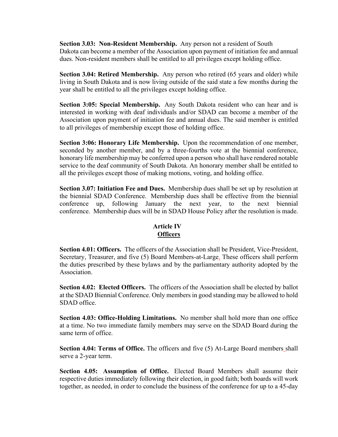**Section 3.03: Non-Resident Membership.** Any person not a resident of South Dakota can become a member of the Association upon payment of initiation fee and annual dues. Non-resident members shall be entitled to all privileges except holding office.

**Section 3.04: Retired Membership.** Any person who retired (65 years and older) while living in South Dakota and is now living outside of the said state a few months during the year shall be entitled to all the privileges except holding office.

**Section 3:05: Special Membership.** Any South Dakota resident who can hear and is interested in working with deaf individuals and/or SDAD can become a member of the Association upon payment of initiation fee and annual dues. The said member is entitled to all privileges of membership except those of holding office.

**Section 3:06: Honorary Life Membership.** Upon the recommendation of one member, seconded by another member, and by a three-fourths vote at the biennial conference, honorary life membership may be conferred upon a person who shall have rendered notable service to the deaf community of South Dakota. An honorary member shall be entitled to all the privileges except those of making motions, voting, and holding office.

**Section 3.07: Initiation Fee and Dues.** Membership dues shall be set up by resolution at the biennial SDAD Conference. Membership dues shall be effective from the biennial conference up, following January the next year, to the next biennial conference. Membership dues will be in SDAD House Policy after the resolution is made.

# **Article IV Officers**

**Section 4.01: Officers.** The officers of the Association shall be President, Vice-President, Secretary, Treasurer, and five (5) Board Members-at-Large. These officers shall perform the duties prescribed by these bylaws and by the parliamentary authority adopted by the Association.

**Section 4.02: Elected Officers.** The officers of the Association shall be elected by ballot at the SDAD Biennial Conference. Only members in good standing may be allowed to hold SDAD office.

**Section 4.03: Office-Holding Limitations.** No member shall hold more than one office at a time. No two immediate family members may serve on the SDAD Board during the same term of office.

**Section 4.04: Terms of Office.** The officers and five (5) At-Large Board members shall serve a 2-year term.

**Section 4.05: Assumption of Office.** Elected Board Members shall assume their respective duties immediately following their election, in good faith; both boards will work together, as needed, in order to conclude the business of the conference for up to a 45-day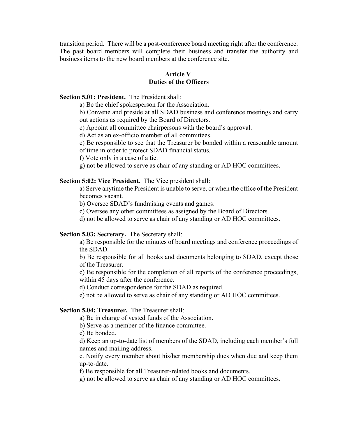transition period. There will be a post-conference board meeting right after the conference. The past board members will complete their business and transfer the authority and business items to the new board members at the conference site.

#### **Article V Duties of the Officers**

#### **Section 5.01: President.** The President shall:

a) Be the chief spokesperson for the Association.

b) Convene and preside at all SDAD business and conference meetings and carry out actions as required by the Board of Directors.

c) Appoint all committee chairpersons with the board's approval.

d) Act as an ex-officio member of all committees.

e) Be responsible to see that the Treasurer be bonded within a reasonable amount

of time in order to protect SDAD financial status.

f) Vote only in a case of a tie.

g) not be allowed to serve as chair of any standing or AD HOC committees.

#### **Section 5:02: Vice President.** The Vice president shall:

a) Serve anytime the President is unable to serve, or when the office of the President becomes vacant.

b) Oversee SDAD's fundraising events and games.

c) Oversee any other committees as assigned by the Board of Directors.

d) not be allowed to serve as chair of any standing or AD HOC committees.

#### **Section 5.03: Secretary.** The Secretary shall:

a) Be responsible for the minutes of board meetings and conference proceedings of the SDAD.

b) Be responsible for all books and documents belonging to SDAD, except those of the Treasurer.

c) Be responsible for the completion of all reports of the conference proceedings, within 45 days after the conference.

d) Conduct correspondence for the SDAD as required.

e) not be allowed to serve as chair of any standing or AD HOC committees.

#### **Section 5.04: Treasurer.** The Treasurer shall:

a) Be in charge of vested funds of the Association.

b) Serve as a member of the finance committee.

c) Be bonded.

d) Keep an up-to-date list of members of the SDAD, including each member's full names and mailing address.

e. Notify every member about his/her membership dues when due and keep them up-to-date.

f) Be responsible for all Treasurer-related books and documents.

g) not be allowed to serve as chair of any standing or AD HOC committees.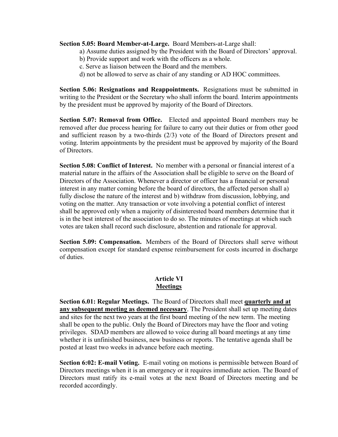#### **Section 5.05: Board Member-at-Large.** Board Members-at-Large shall:

- a) Assume duties assigned by the President with the Board of Directors' approval.
- b) Provide support and work with the officers as a whole.
- c. Serve as liaison between the Board and the members.
- d) not be allowed to serve as chair of any standing or AD HOC committees.

**Section 5.06: Resignations and Reappointments.** Resignations must be submitted in writing to the President or the Secretary who shall inform the board. Interim appointments by the president must be approved by majority of the Board of Directors.

**Section 5.07: Removal from Office.** Elected and appointed Board members may be removed after due process hearing for failure to carry out their duties or from other good and sufficient reason by a two-thirds (2/3) vote of the Board of Directors present and voting. Interim appointments by the president must be approved by majority of the Board of Directors.

**Section 5.08: Conflict of Interest.** No member with a personal or financial interest of a material nature in the affairs of the Association shall be eligible to serve on the Board of Directors of the Association. Whenever a director or officer has a financial or personal interest in any matter coming before the board of directors, the affected person shall a) fully disclose the nature of the interest and b) withdraw from discussion, lobbying, and voting on the matter. Any transaction or vote involving a potential conflict of interest shall be approved only when a majority of disinterested board members determine that it is in the best interest of the association to do so. The minutes of meetings at which such votes are taken shall record such disclosure, abstention and rationale for approval.

**Section 5.09: Compensation.** Members of the Board of Directors shall serve without compensation except for standard expense reimbursement for costs incurred in discharge of duties.

# **Article VI Meetings**

**Section 6.01: Regular Meetings.** The Board of Directors shall meet **quarterly and at any subsequent meeting as deemed necessary**. The President shall set up meeting dates and sites for the next two years at the first board meeting of the new term. The meeting shall be open to the public. Only the Board of Directors may have the floor and voting privileges. SDAD members are allowed to voice during all board meetings at any time whether it is unfinished business, new business or reports. The tentative agenda shall be posted at least two weeks in advance before each meeting.

**Section 6:02: E-mail Voting.** E-mail voting on motions is permissible between Board of Directors meetings when it is an emergency or it requires immediate action. The Board of Directors must ratify its e-mail votes at the next Board of Directors meeting and be recorded accordingly.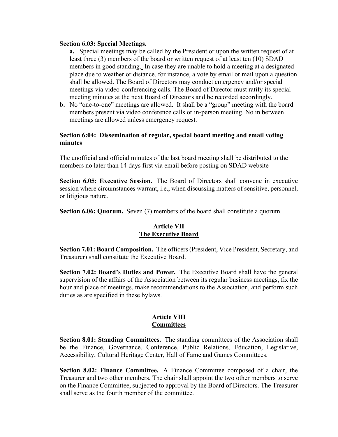#### **Section 6.03: Special Meetings.**

**a.** Special meetings may be called by the President or upon the written request of at least three (3) members of the board or written request of at least ten (10) SDAD members in good standing. In case they are unable to hold a meeting at a designated place due to weather or distance, for instance, a vote by email or mail upon a question shall be allowed. The Board of Directors may conduct emergency and/or special meetings via video-conferencing calls. The Board of Director must ratify its special meeting minutes at the next Board of Directors and be recorded accordingly.

**b.** No "one-to-one" meetings are allowed. It shall be a "group" meeting with the board members present via video conference calls or in-person meeting. No in between meetings are allowed unless emergency request.

#### **Section 6:04: Dissemination of regular, special board meeting and email voting minutes**

The unofficial and official minutes of the last board meeting shall be distributed to the members no later than 14 days first via email before posting on SDAD website

**Section 6.05: Executive Session.** The Board of Directors shall convene in executive session where circumstances warrant, i.e., when discussing matters of sensitive, personnel, or litigious nature.

**Section 6.06: Quorum.** Seven (7) members of the board shall constitute a quorum.

#### **Article VII The Executive Board**

**Section 7.01: Board Composition.** The officers (President, Vice President, Secretary, and Treasurer) shall constitute the Executive Board.

**Section 7.02: Board's Duties and Power.** The Executive Board shall have the general supervision of the affairs of the Association between its regular business meetings, fix the hour and place of meetings, make recommendations to the Association, and perform such duties as are specified in these bylaws.

#### **Article VIII Committees**

**Section 8.01: Standing Committees.** The standing committees of the Association shall be the Finance, Governance, Conference, Public Relations, Education, Legislative, Accessibility, Cultural Heritage Center, Hall of Fame and Games Committees.

**Section 8.02: Finance Committee.** A Finance Committee composed of a chair, the Treasurer and two other members. The chair shall appoint the two other members to serve on the Finance Committee, subjected to approval by the Board of Directors. The Treasurer shall serve as the fourth member of the committee.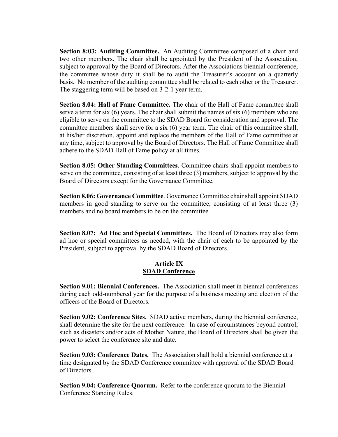**Section 8:03: Auditing Committee.** An Auditing Committee composed of a chair and two other members. The chair shall be appointed by the President of the Association, subject to approval by the Board of Directors. After the Associations biennial conference, the committee whose duty it shall be to audit the Treasurer's account on a quarterly basis. No member of the auditing committee shall be related to each other or the Treasurer. The staggering term will be based on 3-2-1 year term.

**Section 8.04: Hall of Fame Committee.** The chair of the Hall of Fame committee shall serve a term for six (6) years. The chair shall submit the names of six (6) members who are eligible to serve on the committee to the SDAD Board for consideration and approval. The committee members shall serve for a six (6) year term. The chair of this committee shall, at his/her discretion, appoint and replace the members of the Hall of Fame committee at any time, subject to approval by the Board of Directors. The Hall of Fame Committee shall adhere to the SDAD Hall of Fame policy at all times.

**Section 8.05: Other Standing Committees**. Committee chairs shall appoint members to serve on the committee, consisting of at least three (3) members, subject to approval by the Board of Directors except for the Governance Committee.

**Section 8.06: Governance Committee**. Governance Committee chair shall appoint SDAD members in good standing to serve on the committee, consisting of at least three (3) members and no board members to be on the committee.

**Section 8.07: Ad Hoc and Special Committees.** The Board of Directors may also form ad hoc or special committees as needed, with the chair of each to be appointed by the President, subject to approval by the SDAD Board of Directors.

# **Article IX SDAD Conference**

**Section 9.01: Biennial Conferences.** The Association shall meet in biennial conferences during each odd-numbered year for the purpose of a business meeting and election of the officers of the Board of Directors.

**Section 9.02: Conference Sites.** SDAD active members, during the biennial conference, shall determine the site for the next conference. In case of circumstances beyond control, such as disasters and/or acts of Mother Nature, the Board of Directors shall be given the power to select the conference site and date.

**Section 9.03: Conference Dates.** The Association shall hold a biennial conference at a time designated by the SDAD Conference committee with approval of the SDAD Board of Directors.

**Section 9.04: Conference Quorum.** Refer to the conference quorum to the Biennial Conference Standing Rules.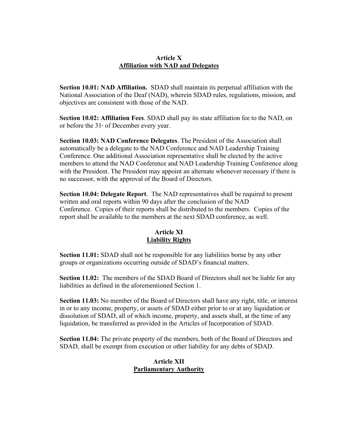## **Article X Affiliation with NAD and Delegates**

**Section 10.01: NAD Affiliation.** SDAD shall maintain its perpetual affiliation with the National Association of the Deaf (NAD), wherein SDAD rules, regulations, mission, and objectives are consistent with those of the NAD.

**Section 10.02: Affiliation Fees**. SDAD shall pay its state affiliation fee to the NAD, on or before the  $31<sup>st</sup>$  of December every year.

**Section 10.03: NAD Conference Delegates**. The President of the Association shall automatically be a delegate to the NAD Conference and NAD Leadership Training Conference. One additional Association representative shall be elected by the active members to attend the NAD Conference and NAD Leadership Training Conference along with the President. The President may appoint an alternate whenever necessary if there is no successor, with the approval of the Board of Directors.

**Section 10.04: Delegate Report**. The NAD representatives shall be required to present written and oral reports within 90 days after the conclusion of the NAD Conference. Copies of their reports shall be distributed to the members. Copies of the report shall be available to the members at the next SDAD conference, as well.

# **Article XI Liability Rights**

**Section 11.01:** SDAD shall not be responsible for any liabilities borne by any other groups or organizations occurring outside of SDAD's financial matters.

**Section 11.02:** The members of the SDAD Board of Directors shall not be liable for any liabilities as defined in the aforementioned Section 1.

**Section 11.03:** No member of the Board of Directors shall have any right, title, or interest in or to any income, property, or assets of SDAD either prior to or at any liquidation or dissolution of SDAD, all of which income, property, and assets shall, at the time of any liquidation, be transferred as provided in the Articles of Incorporation of SDAD.

**Section 11.04:** The private property of the members, both of the Board of Directors and SDAD, shall be exempt from execution or other liability for any debts of SDAD.

# **Article XII Parliamentary Authority**